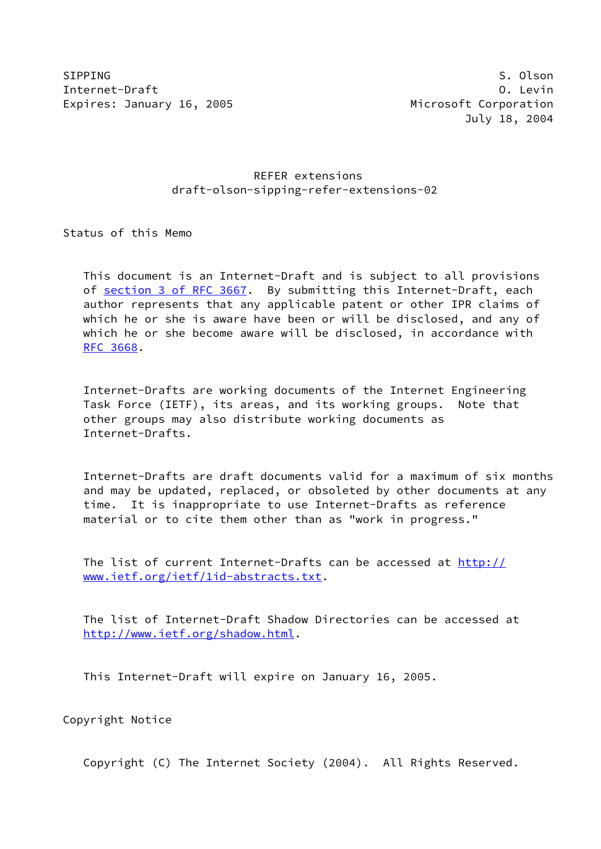SIPPING S. Olson Internet-Draft O. Levin Expires: January 16, 2005 Microsoft Corporation

## REFER extensions draft-olson-sipping-refer-extensions-02

Status of this Memo

 This document is an Internet-Draft and is subject to all provisions of section [3 of RFC 3667.](https://datatracker.ietf.org/doc/pdf/rfc3667#section-3) By submitting this Internet-Draft, each author represents that any applicable patent or other IPR claims of which he or she is aware have been or will be disclosed, and any of which he or she become aware will be disclosed, in accordance with [RFC 3668](https://datatracker.ietf.org/doc/pdf/rfc3668).

 Internet-Drafts are working documents of the Internet Engineering Task Force (IETF), its areas, and its working groups. Note that other groups may also distribute working documents as Internet-Drafts.

 Internet-Drafts are draft documents valid for a maximum of six months and may be updated, replaced, or obsoleted by other documents at any time. It is inappropriate to use Internet-Drafts as reference material or to cite them other than as "work in progress."

 The list of current Internet-Drafts can be accessed at [http://](http://www.ietf.org/ietf/1id-abstracts.txt) [www.ietf.org/ietf/1id-abstracts.txt](http://www.ietf.org/ietf/1id-abstracts.txt).

 The list of Internet-Draft Shadow Directories can be accessed at <http://www.ietf.org/shadow.html>.

This Internet-Draft will expire on January 16, 2005.

Copyright Notice

Copyright (C) The Internet Society (2004). All Rights Reserved.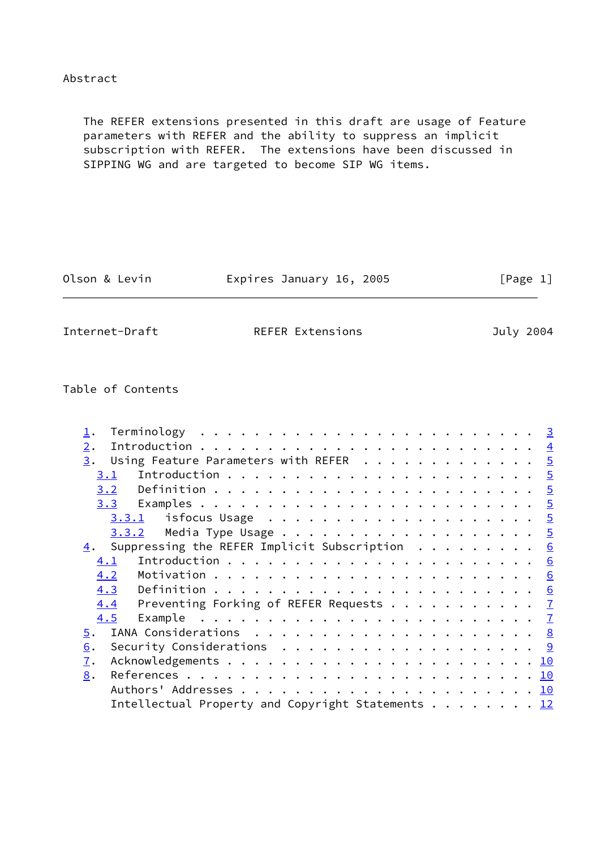The REFER extensions presented in this draft are usage of Feature parameters with REFER and the ability to suppress an implicit subscription with REFER. The extensions have been discussed in SIPPING WG and are targeted to become SIP WG items.

| Olson & Levin | Expires January 16, 2005 | [Page 1] |
|---------------|--------------------------|----------|
|---------------|--------------------------|----------|

Internet-Draft REFER Extensions July 2004

Table of Contents

|                                                                              | $\overline{4}$ |
|------------------------------------------------------------------------------|----------------|
| Using Feature Parameters with REFER                                          | $\overline{5}$ |
|                                                                              | $\frac{5}{2}$  |
|                                                                              |                |
|                                                                              |                |
| isfocus Usage $\ldots \ldots \ldots \ldots \ldots \ldots \ldots \frac{5}{2}$ |                |
| Media Type Usage $\ldots$ 5                                                  |                |
| $\underline{4}$ . Suppressing the REFER Implicit Subscription 6              |                |
|                                                                              |                |
|                                                                              |                |
|                                                                              |                |
| Preventing Forking of REFER Requests $\frac{7}{2}$                           |                |
|                                                                              |                |
|                                                                              |                |
| Security Considerations $\ldots \ldots \ldots \ldots \ldots \ldots$          |                |
|                                                                              |                |
|                                                                              |                |
|                                                                              |                |
| Intellectual Property and Copyright Statements 12                            |                |
|                                                                              |                |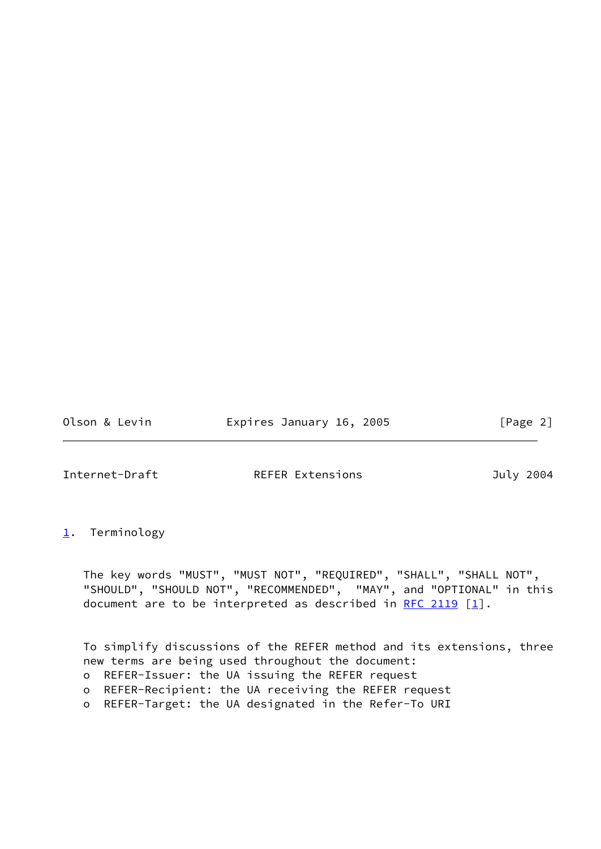Olson & Levin **Expires January 16, 2005** [Page 2]

<span id="page-2-1"></span>

Internet-Draft REFER Extensions July 2004

<span id="page-2-0"></span>[1](#page-2-0). Terminology

 The key words "MUST", "MUST NOT", "REQUIRED", "SHALL", "SHALL NOT", "SHOULD", "SHOULD NOT", "RECOMMENDED", "MAY", and "OPTIONAL" in this document are to be interpreted as described in [RFC 2119](https://datatracker.ietf.org/doc/pdf/rfc2119)  $[1]$  $[1]$ .

 To simplify discussions of the REFER method and its extensions, three new terms are being used throughout the document:

- o REFER-Issuer: the UA issuing the REFER request
- o REFER-Recipient: the UA receiving the REFER request
- o REFER-Target: the UA designated in the Refer-To URI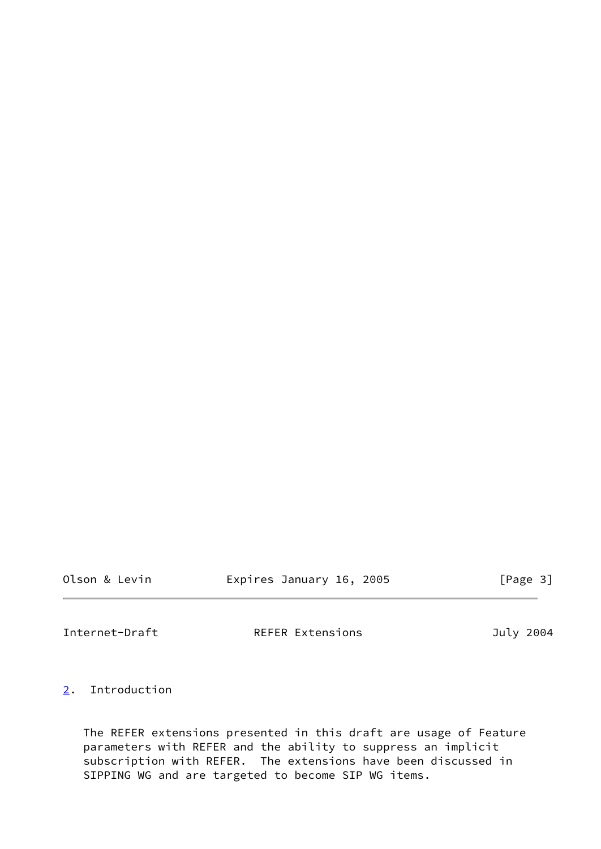Olson & Levin **Expires January 16, 2005** [Page 3]

<span id="page-3-1"></span>Internet-Draft REFER Extensions July 2004

### <span id="page-3-0"></span>[2](#page-3-0). Introduction

 The REFER extensions presented in this draft are usage of Feature parameters with REFER and the ability to suppress an implicit subscription with REFER. The extensions have been discussed in SIPPING WG and are targeted to become SIP WG items.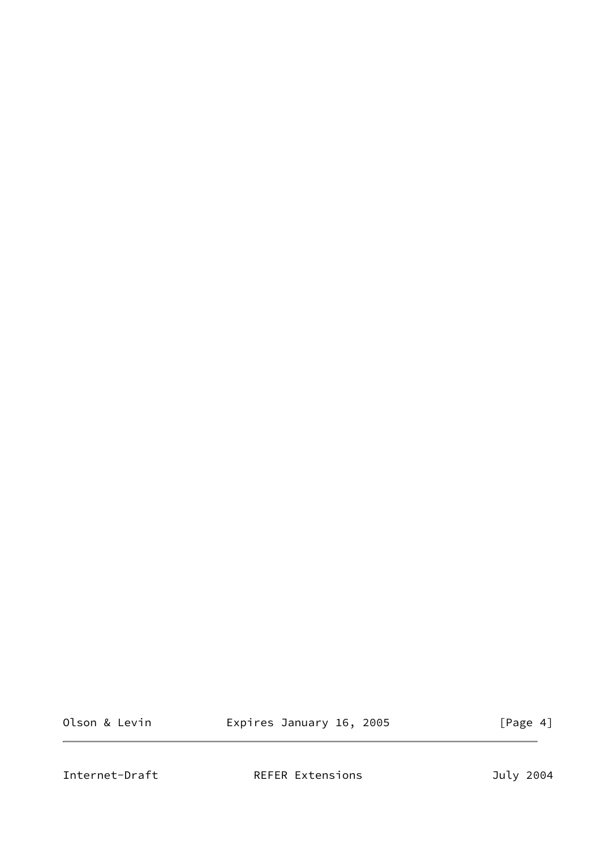Olson & Levin **Expires January 16, 2005** [Page 4]

 $\overline{\phantom{a}}$ 

<span id="page-4-0"></span>Internet-Draft REFER Extensions July 2004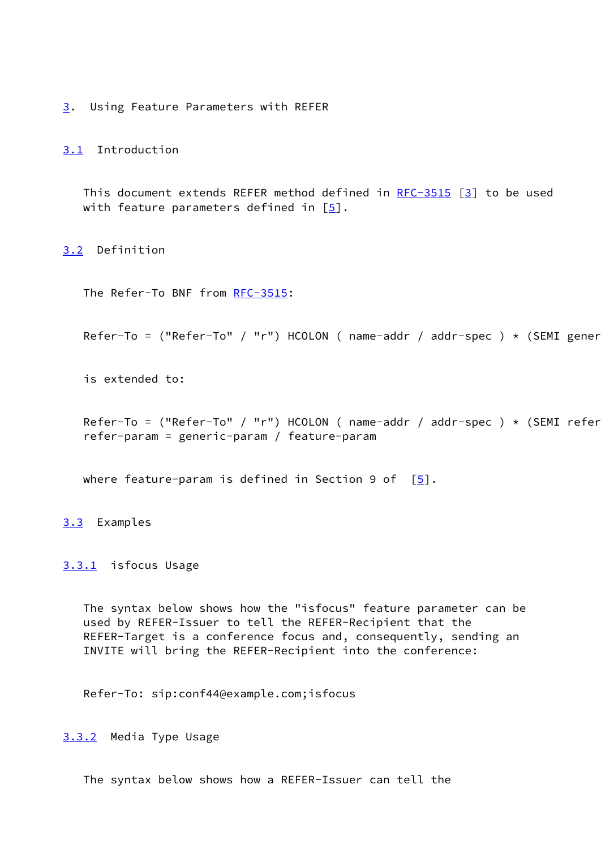<span id="page-5-0"></span>[3](#page-5-0). Using Feature Parameters with REFER

<span id="page-5-1"></span>[3.1](#page-5-1) Introduction

This document extends REFER method defined in  $RFC-3515$  [\[3](#page-12-0)] to be used with feature parameters defined in  $[5]$  $[5]$ .

<span id="page-5-2"></span>[3.2](#page-5-2) Definition

The Refer-To BNF from [RFC-3515](https://datatracker.ietf.org/doc/pdf/rfc3515):

Refer-To = ("Refer-To" / "r") HCOLON ( name-addr / addr-spec )  $\star$  (SEMI gener

is extended to:

Refer-To = ("Refer-To" / "r") HCOLON ( name-addr / addr-spec )  $*$  (SEMI refer refer-param = generic-param / feature-param

where feature-param is defined in Section 9 of  $[5]$  $[5]$ .

<span id="page-5-3"></span>[3.3](#page-5-3) Examples

<span id="page-5-4"></span>[3.3.1](#page-5-4) isfocus Usage

 The syntax below shows how the "isfocus" feature parameter can be used by REFER-Issuer to tell the REFER-Recipient that the REFER-Target is a conference focus and, consequently, sending an INVITE will bring the REFER-Recipient into the conference:

Refer-To: sip:conf44@example.com;isfocus

<span id="page-5-5"></span>[3.3.2](#page-5-5) Media Type Usage

The syntax below shows how a REFER-Issuer can tell the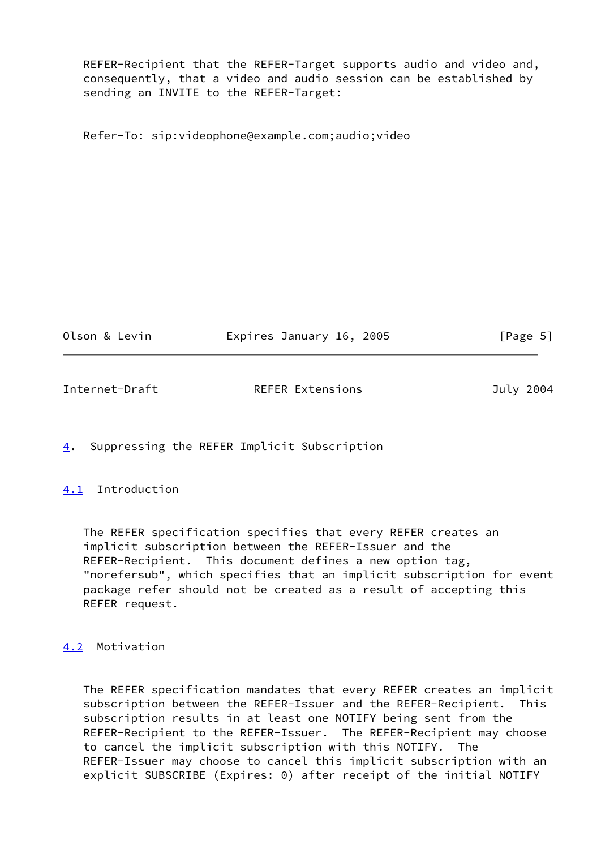REFER-Recipient that the REFER-Target supports audio and video and, consequently, that a video and audio session can be established by sending an INVITE to the REFER-Target:

Refer-To: sip:videophone@example.com;audio;video

<span id="page-6-1"></span>

| Olson & Levin  | Expires January 16, 2005 | $\lceil \text{Page } 5 \rceil$ |
|----------------|--------------------------|--------------------------------|
|                |                          |                                |
| Internet-Draft | REFER Extensions         | July 2004                      |

<span id="page-6-0"></span>[4](#page-6-0). Suppressing the REFER Implicit Subscription

### <span id="page-6-2"></span>[4.1](#page-6-2) Introduction

 The REFER specification specifies that every REFER creates an implicit subscription between the REFER-Issuer and the REFER-Recipient. This document defines a new option tag, "norefersub", which specifies that an implicit subscription for event package refer should not be created as a result of accepting this REFER request.

### <span id="page-6-3"></span>[4.2](#page-6-3) Motivation

 The REFER specification mandates that every REFER creates an implicit subscription between the REFER-Issuer and the REFER-Recipient. This subscription results in at least one NOTIFY being sent from the REFER-Recipient to the REFER-Issuer. The REFER-Recipient may choose to cancel the implicit subscription with this NOTIFY. The REFER-Issuer may choose to cancel this implicit subscription with an explicit SUBSCRIBE (Expires: 0) after receipt of the initial NOTIFY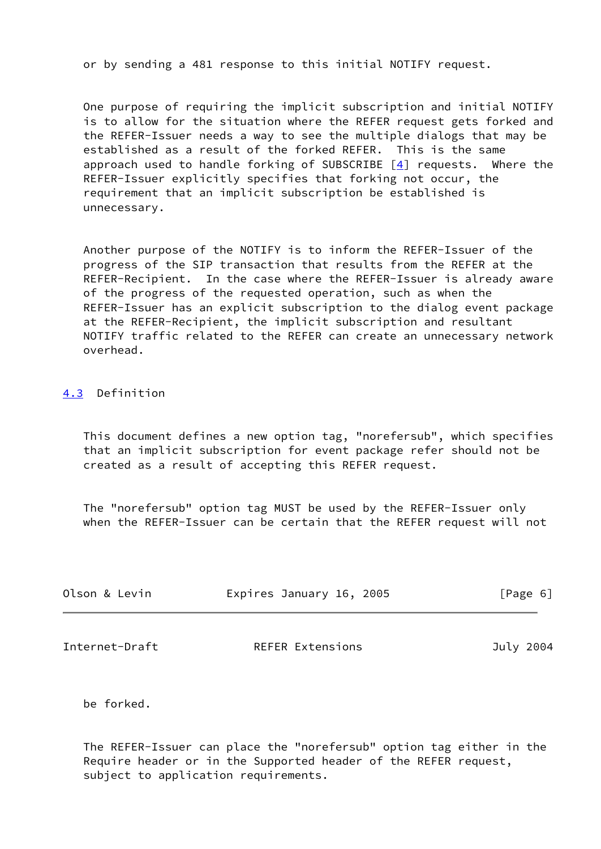or by sending a 481 response to this initial NOTIFY request.

 One purpose of requiring the implicit subscription and initial NOTIFY is to allow for the situation where the REFER request gets forked and the REFER-Issuer needs a way to see the multiple dialogs that may be established as a result of the forked REFER. This is the same approach used to handle forking of SUBSCRIBE  $[4]$  requests. Where the REFER-Issuer explicitly specifies that forking not occur, the requirement that an implicit subscription be established is unnecessary.

 Another purpose of the NOTIFY is to inform the REFER-Issuer of the progress of the SIP transaction that results from the REFER at the REFER-Recipient. In the case where the REFER-Issuer is already aware of the progress of the requested operation, such as when the REFER-Issuer has an explicit subscription to the dialog event package at the REFER-Recipient, the implicit subscription and resultant NOTIFY traffic related to the REFER can create an unnecessary network overhead.

#### <span id="page-7-0"></span>[4.3](#page-7-0) Definition

 This document defines a new option tag, "norefersub", which specifies that an implicit subscription for event package refer should not be created as a result of accepting this REFER request.

 The "norefersub" option tag MUST be used by the REFER-Issuer only when the REFER-Issuer can be certain that the REFER request will not

| Olson & Levin | Expires January 16, 2005 | [Page 6] |
|---------------|--------------------------|----------|
|               |                          |          |
|               |                          |          |

<span id="page-7-1"></span>Internet-Draft REFER Extensions July 2004

be forked.

 The REFER-Issuer can place the "norefersub" option tag either in the Require header or in the Supported header of the REFER request, subject to application requirements.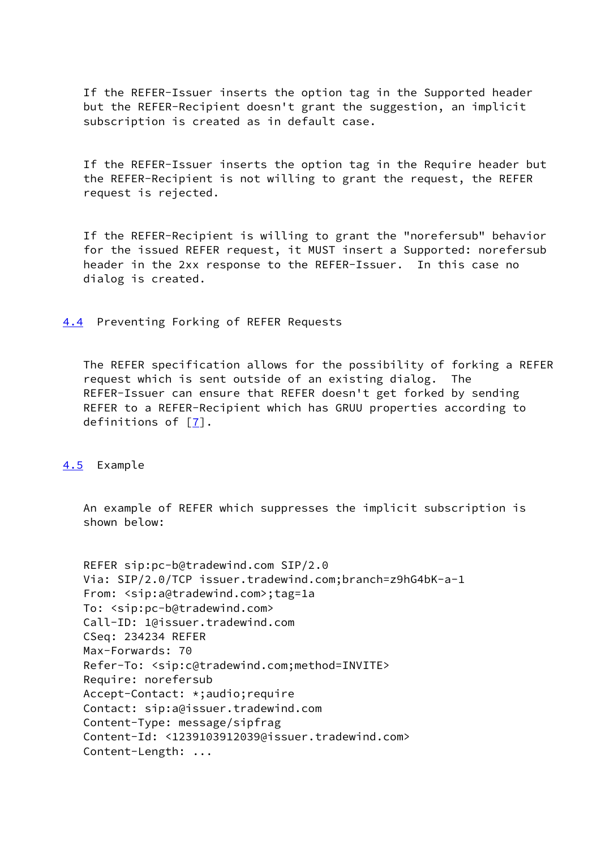If the REFER-Issuer inserts the option tag in the Supported header but the REFER-Recipient doesn't grant the suggestion, an implicit subscription is created as in default case.

 If the REFER-Issuer inserts the option tag in the Require header but the REFER-Recipient is not willing to grant the request, the REFER request is rejected.

 If the REFER-Recipient is willing to grant the "norefersub" behavior for the issued REFER request, it MUST insert a Supported: norefersub header in the 2xx response to the REFER-Issuer. In this case no dialog is created.

<span id="page-8-0"></span>[4.4](#page-8-0) Preventing Forking of REFER Requests

 The REFER specification allows for the possibility of forking a REFER request which is sent outside of an existing dialog. The REFER-Issuer can ensure that REFER doesn't get forked by sending REFER to a REFER-Recipient which has GRUU properties according to definitions of [\[7](#page-12-3)].

<span id="page-8-1"></span>[4.5](#page-8-1) Example

 An example of REFER which suppresses the implicit subscription is shown below:

```
 REFER sip:pc-b@tradewind.com SIP/2.0
Via: SIP/2.0/TCP issuer.tradewind.com;branch=z9hG4bK-a-1
From: <sip:a@tradewind.com>;tag=1a
To: <sip:pc-b@tradewind.com>
Call-ID: 1@issuer.tradewind.com
CSeq: 234234 REFER
Max-Forwards: 70
Refer-To: <sip:c@tradewind.com;method=INVITE>
Require: norefersub
Accept-Contact: *;audio;require
Contact: sip:a@issuer.tradewind.com
Content-Type: message/sipfrag
Content-Id: <1239103912039@issuer.tradewind.com>
Content-Length: ...
```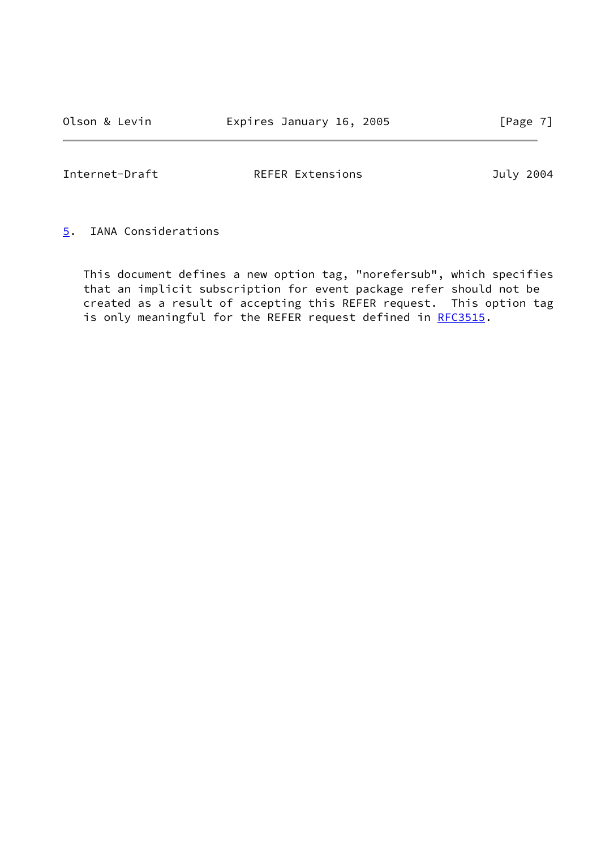<span id="page-9-1"></span>Internet-Draft REFER Extensions July 2004

<span id="page-9-0"></span>[5](#page-9-0). IANA Considerations

 This document defines a new option tag, "norefersub", which specifies that an implicit subscription for event package refer should not be created as a result of accepting this REFER request. This option tag is only meaningful for the REFER request defined in [RFC3515.](https://datatracker.ietf.org/doc/pdf/rfc3515)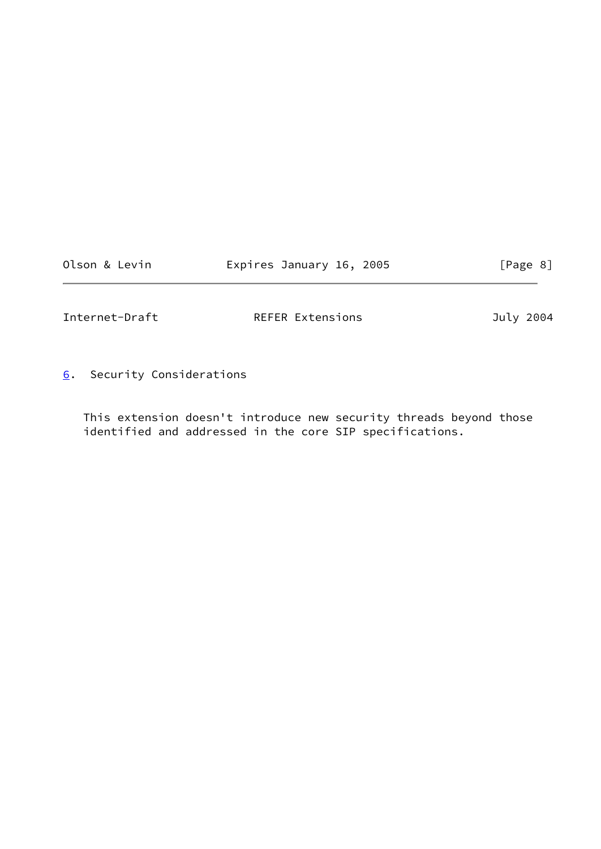Olson & Levin **Expires January 16, 2005** [Page 8]

<span id="page-10-1"></span>Internet-Draft REFER Extensions July 2004

<span id="page-10-0"></span>[6](#page-10-0). Security Considerations

 This extension doesn't introduce new security threads beyond those identified and addressed in the core SIP specifications.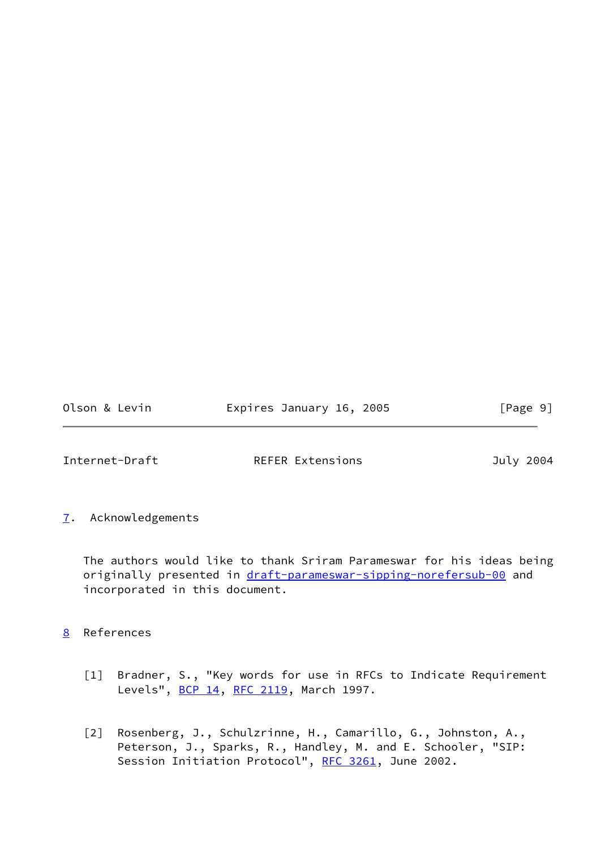Olson & Levin **Expires January 16, 2005** [Page 9]

<span id="page-11-1"></span>

Internet-Draft REFER Extensions July 2004

### <span id="page-11-0"></span>[7](#page-11-0). Acknowledgements

 The authors would like to thank Sriram Parameswar for his ideas being originally presented in [draft-parameswar-sipping-norefersub-00](https://datatracker.ietf.org/doc/pdf/draft-parameswar-sipping-norefersub-00) and incorporated in this document.

# <span id="page-11-2"></span>[8](#page-11-2) References

- <span id="page-11-3"></span> [1] Bradner, S., "Key words for use in RFCs to Indicate Requirement Levels", [BCP 14](https://datatracker.ietf.org/doc/pdf/bcp14), [RFC 2119](https://datatracker.ietf.org/doc/pdf/rfc2119), March 1997.
- [2] Rosenberg, J., Schulzrinne, H., Camarillo, G., Johnston, A., Peterson, J., Sparks, R., Handley, M. and E. Schooler, "SIP: Session Initiation Protocol", [RFC 3261,](https://datatracker.ietf.org/doc/pdf/rfc3261) June 2002.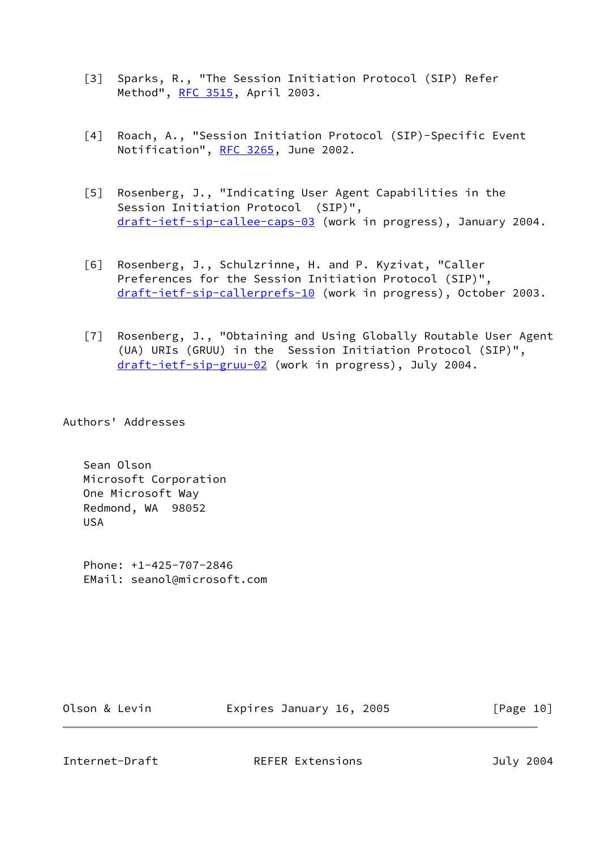- <span id="page-12-0"></span> [3] Sparks, R., "The Session Initiation Protocol (SIP) Refer Method", [RFC 3515](https://datatracker.ietf.org/doc/pdf/rfc3515), April 2003.
- <span id="page-12-2"></span> [4] Roach, A., "Session Initiation Protocol (SIP)-Specific Event Notification", [RFC 3265,](https://datatracker.ietf.org/doc/pdf/rfc3265) June 2002.
- <span id="page-12-1"></span> [5] Rosenberg, J., "Indicating User Agent Capabilities in the Session Initiation Protocol (SIP)", [draft-ietf-sip-callee-caps-03](https://datatracker.ietf.org/doc/pdf/draft-ietf-sip-callee-caps-03) (work in progress), January 2004.
- [6] Rosenberg, J., Schulzrinne, H. and P. Kyzivat, "Caller Preferences for the Session Initiation Protocol (SIP)", [draft-ietf-sip-callerprefs-10](https://datatracker.ietf.org/doc/pdf/draft-ietf-sip-callerprefs-10) (work in progress), October 2003.
- <span id="page-12-3"></span> [7] Rosenberg, J., "Obtaining and Using Globally Routable User Agent (UA) URIs (GRUU) in the Session Initiation Protocol (SIP)", [draft-ietf-sip-gruu-02](https://datatracker.ietf.org/doc/pdf/draft-ietf-sip-gruu-02) (work in progress), July 2004.

Authors' Addresses

 Sean Olson Microsoft Corporation One Microsoft Way Redmond, WA 98052 USA

 Phone: +1-425-707-2846 EMail: seanol@microsoft.com

Olson & Levin **Expires January 16, 2005** [Page 10]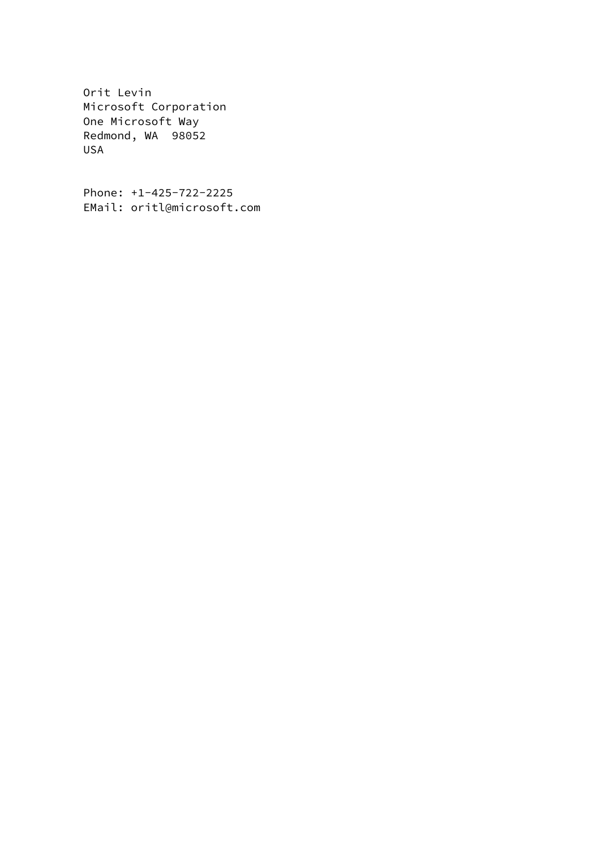Orit Levin Microsoft Corporation One Microsoft Way Redmond, WA 98052 USA

 Phone: +1-425-722-2225 EMail: oritl@microsoft.com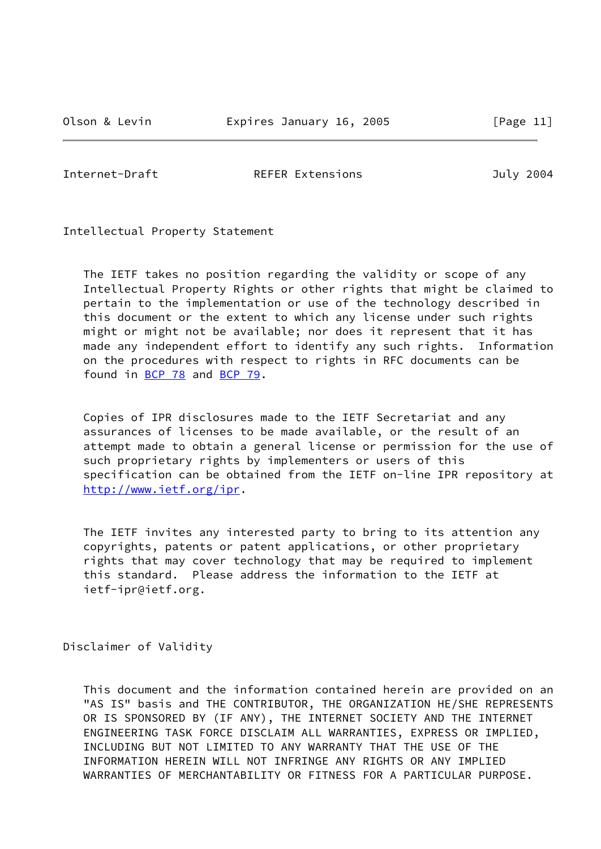Olson & Levin Expires January 16, 2005 [Page 11]

<span id="page-14-0"></span>

Internet-Draft REFER Extensions July 2004

Intellectual Property Statement

 The IETF takes no position regarding the validity or scope of any Intellectual Property Rights or other rights that might be claimed to pertain to the implementation or use of the technology described in this document or the extent to which any license under such rights might or might not be available; nor does it represent that it has made any independent effort to identify any such rights. Information on the procedures with respect to rights in RFC documents can be found in [BCP 78](https://datatracker.ietf.org/doc/pdf/bcp78) and [BCP 79](https://datatracker.ietf.org/doc/pdf/bcp79).

 Copies of IPR disclosures made to the IETF Secretariat and any assurances of licenses to be made available, or the result of an attempt made to obtain a general license or permission for the use of such proprietary rights by implementers or users of this specification can be obtained from the IETF on-line IPR repository at <http://www.ietf.org/ipr>.

 The IETF invites any interested party to bring to its attention any copyrights, patents or patent applications, or other proprietary rights that may cover technology that may be required to implement this standard. Please address the information to the IETF at ietf-ipr@ietf.org.

Disclaimer of Validity

 This document and the information contained herein are provided on an "AS IS" basis and THE CONTRIBUTOR, THE ORGANIZATION HE/SHE REPRESENTS OR IS SPONSORED BY (IF ANY), THE INTERNET SOCIETY AND THE INTERNET ENGINEERING TASK FORCE DISCLAIM ALL WARRANTIES, EXPRESS OR IMPLIED, INCLUDING BUT NOT LIMITED TO ANY WARRANTY THAT THE USE OF THE INFORMATION HEREIN WILL NOT INFRINGE ANY RIGHTS OR ANY IMPLIED WARRANTIES OF MERCHANTABILITY OR FITNESS FOR A PARTICULAR PURPOSE.